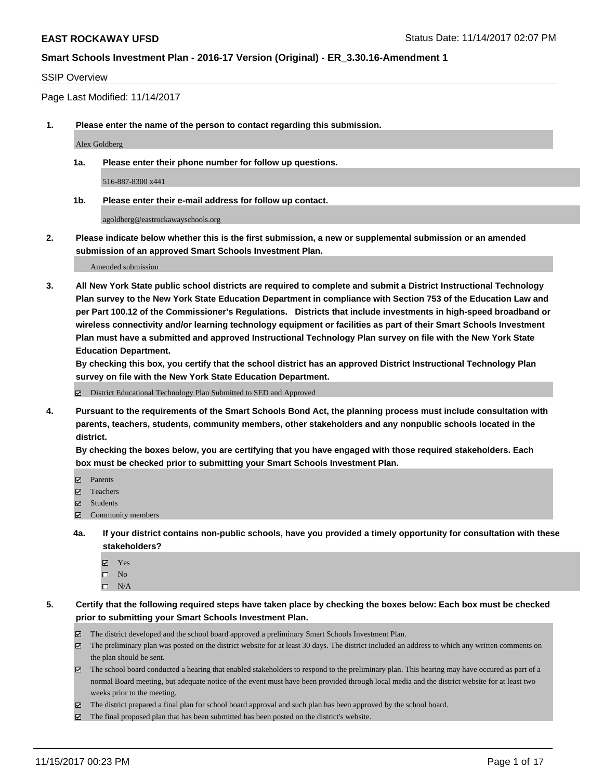#### SSIP Overview

Page Last Modified: 11/14/2017

**1. Please enter the name of the person to contact regarding this submission.**

Alex Goldberg

**1a. Please enter their phone number for follow up questions.**

516-887-8300 x441

**1b. Please enter their e-mail address for follow up contact.**

agoldberg@eastrockawayschools.org

**2. Please indicate below whether this is the first submission, a new or supplemental submission or an amended submission of an approved Smart Schools Investment Plan.**

Amended submission

**3. All New York State public school districts are required to complete and submit a District Instructional Technology Plan survey to the New York State Education Department in compliance with Section 753 of the Education Law and per Part 100.12 of the Commissioner's Regulations. Districts that include investments in high-speed broadband or wireless connectivity and/or learning technology equipment or facilities as part of their Smart Schools Investment Plan must have a submitted and approved Instructional Technology Plan survey on file with the New York State Education Department.** 

**By checking this box, you certify that the school district has an approved District Instructional Technology Plan survey on file with the New York State Education Department.**

District Educational Technology Plan Submitted to SED and Approved

**4. Pursuant to the requirements of the Smart Schools Bond Act, the planning process must include consultation with parents, teachers, students, community members, other stakeholders and any nonpublic schools located in the district.** 

**By checking the boxes below, you are certifying that you have engaged with those required stakeholders. Each box must be checked prior to submitting your Smart Schools Investment Plan.**

- **マ** Parents
- Teachers
- **☑** Students
- $\Xi$  Community members
- **4a. If your district contains non-public schools, have you provided a timely opportunity for consultation with these stakeholders?**
	- **Ø** Yes
	- $\square$  No
	- $\square$  N/A

**5. Certify that the following required steps have taken place by checking the boxes below: Each box must be checked prior to submitting your Smart Schools Investment Plan.**

- The district developed and the school board approved a preliminary Smart Schools Investment Plan.
- The preliminary plan was posted on the district website for at least 30 days. The district included an address to which any written comments on the plan should be sent.
- The school board conducted a hearing that enabled stakeholders to respond to the preliminary plan. This hearing may have occured as part of a normal Board meeting, but adequate notice of the event must have been provided through local media and the district website for at least two weeks prior to the meeting.
- The district prepared a final plan for school board approval and such plan has been approved by the school board.
- $\boxtimes$  The final proposed plan that has been submitted has been posted on the district's website.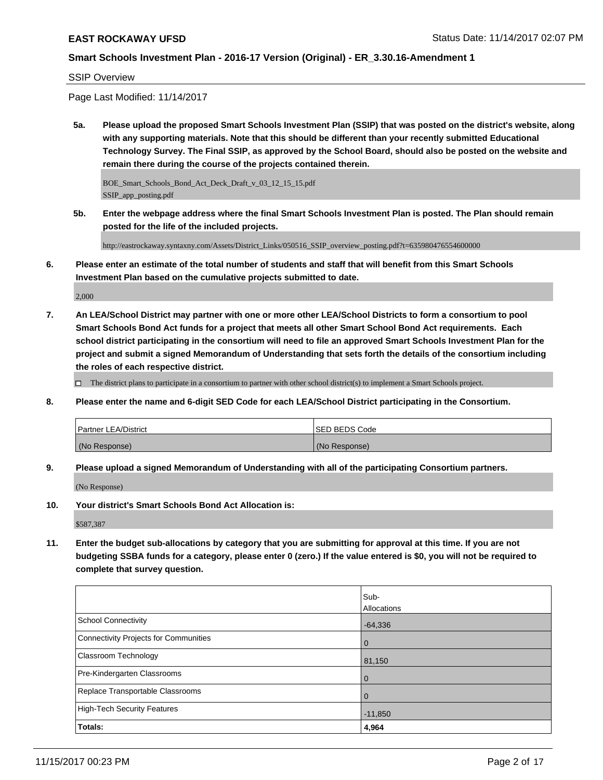### SSIP Overview

Page Last Modified: 11/14/2017

**5a. Please upload the proposed Smart Schools Investment Plan (SSIP) that was posted on the district's website, along with any supporting materials. Note that this should be different than your recently submitted Educational Technology Survey. The Final SSIP, as approved by the School Board, should also be posted on the website and remain there during the course of the projects contained therein.**

BOE\_Smart\_Schools\_Bond\_Act\_Deck\_Draft\_v\_03\_12\_15\_15.pdf SSIP\_app\_posting.pdf

**5b. Enter the webpage address where the final Smart Schools Investment Plan is posted. The Plan should remain posted for the life of the included projects.**

http://eastrockaway.syntaxny.com/Assets/District\_Links/050516\_SSIP\_overview\_posting.pdf?t=635980476554600000

**6. Please enter an estimate of the total number of students and staff that will benefit from this Smart Schools Investment Plan based on the cumulative projects submitted to date.**

2,000

**7. An LEA/School District may partner with one or more other LEA/School Districts to form a consortium to pool Smart Schools Bond Act funds for a project that meets all other Smart School Bond Act requirements. Each school district participating in the consortium will need to file an approved Smart Schools Investment Plan for the project and submit a signed Memorandum of Understanding that sets forth the details of the consortium including the roles of each respective district.**

 $\Box$  The district plans to participate in a consortium to partner with other school district(s) to implement a Smart Schools project.

**8. Please enter the name and 6-digit SED Code for each LEA/School District participating in the Consortium.**

| <b>Partner LEA/District</b> | <b>ISED BEDS Code</b> |
|-----------------------------|-----------------------|
| (No Response)               | (No Response)         |

**9. Please upload a signed Memorandum of Understanding with all of the participating Consortium partners.**

(No Response)

**10. Your district's Smart Schools Bond Act Allocation is:**

\$587,387

**11. Enter the budget sub-allocations by category that you are submitting for approval at this time. If you are not budgeting SSBA funds for a category, please enter 0 (zero.) If the value entered is \$0, you will not be required to complete that survey question.**

|                                       | Sub-               |
|---------------------------------------|--------------------|
|                                       | <b>Allocations</b> |
| <b>School Connectivity</b>            | $-64,336$          |
| Connectivity Projects for Communities | l 0                |
| <b>Classroom Technology</b>           | 81,150             |
| Pre-Kindergarten Classrooms           | l 0                |
| Replace Transportable Classrooms      | $\Omega$           |
| High-Tech Security Features           | $-11,850$          |
| Totals:                               | 4,964              |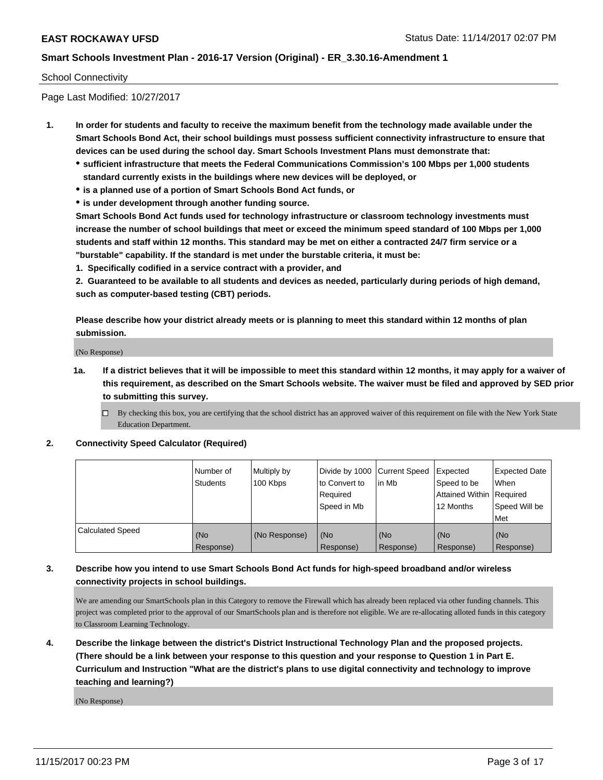### School Connectivity

Page Last Modified: 10/27/2017

- **1. In order for students and faculty to receive the maximum benefit from the technology made available under the Smart Schools Bond Act, their school buildings must possess sufficient connectivity infrastructure to ensure that devices can be used during the school day. Smart Schools Investment Plans must demonstrate that:**
	- **sufficient infrastructure that meets the Federal Communications Commission's 100 Mbps per 1,000 students standard currently exists in the buildings where new devices will be deployed, or**
	- **is a planned use of a portion of Smart Schools Bond Act funds, or**
	- **is under development through another funding source.**

**Smart Schools Bond Act funds used for technology infrastructure or classroom technology investments must increase the number of school buildings that meet or exceed the minimum speed standard of 100 Mbps per 1,000 students and staff within 12 months. This standard may be met on either a contracted 24/7 firm service or a "burstable" capability. If the standard is met under the burstable criteria, it must be:**

**1. Specifically codified in a service contract with a provider, and**

**2. Guaranteed to be available to all students and devices as needed, particularly during periods of high demand, such as computer-based testing (CBT) periods.**

**Please describe how your district already meets or is planning to meet this standard within 12 months of plan submission.**

(No Response)

**1a. If a district believes that it will be impossible to meet this standard within 12 months, it may apply for a waiver of this requirement, as described on the Smart Schools website. The waiver must be filed and approved by SED prior to submitting this survey.**

**2. Connectivity Speed Calculator (Required)**

|                         | Number of<br>Students | Multiply by<br>100 Kbps | Divide by 1000 Current Speed<br>to Convert to<br>Required<br>Speed in Mb | in Mb            | Expected<br>Speed to be<br>Attained Within   Required<br>12 Months | <b>Expected Date</b><br>When<br>Speed Will be<br>Met |
|-------------------------|-----------------------|-------------------------|--------------------------------------------------------------------------|------------------|--------------------------------------------------------------------|------------------------------------------------------|
| <b>Calculated Speed</b> | (No<br>Response)      | (No Response)           | (No<br>Response)                                                         | (No<br>Response) | (No<br>Response)                                                   | (No<br>Response)                                     |

# **3. Describe how you intend to use Smart Schools Bond Act funds for high-speed broadband and/or wireless connectivity projects in school buildings.**

We are amending our SmartSchools plan in this Category to remove the Firewall which has already been replaced via other funding channels. This project was completed prior to the approval of our SmartSchools plan and is therefore not eligible. We are re-allocating alloted funds in this category to Classroom Learning Technology.

**4. Describe the linkage between the district's District Instructional Technology Plan and the proposed projects. (There should be a link between your response to this question and your response to Question 1 in Part E. Curriculum and Instruction "What are the district's plans to use digital connectivity and technology to improve teaching and learning?)**

(No Response)

 $\Box$  By checking this box, you are certifying that the school district has an approved waiver of this requirement on file with the New York State Education Department.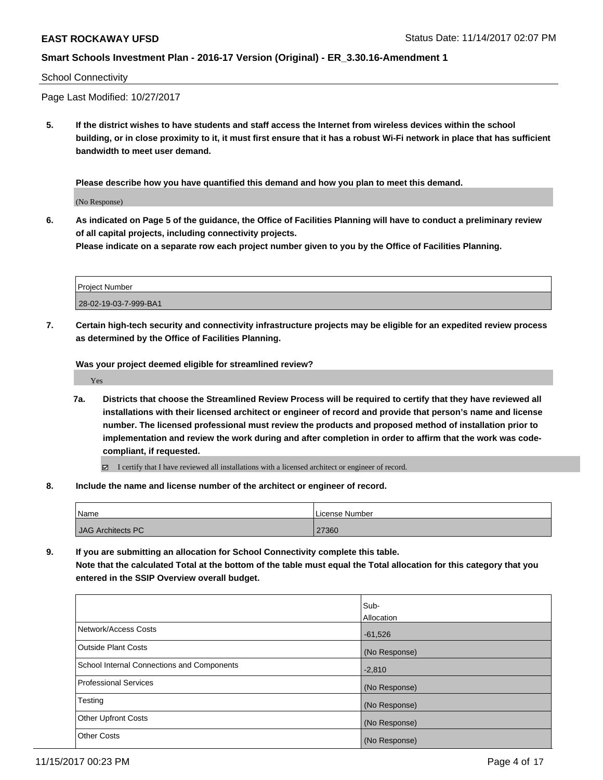#### School Connectivity

Page Last Modified: 10/27/2017

**5. If the district wishes to have students and staff access the Internet from wireless devices within the school building, or in close proximity to it, it must first ensure that it has a robust Wi-Fi network in place that has sufficient bandwidth to meet user demand.**

**Please describe how you have quantified this demand and how you plan to meet this demand.**

(No Response)

**6. As indicated on Page 5 of the guidance, the Office of Facilities Planning will have to conduct a preliminary review of all capital projects, including connectivity projects.**

**Please indicate on a separate row each project number given to you by the Office of Facilities Planning.**

| <b>Project Number</b> |  |
|-----------------------|--|
| 28-02-19-03-7-999-BA1 |  |

**7. Certain high-tech security and connectivity infrastructure projects may be eligible for an expedited review process as determined by the Office of Facilities Planning.**

**Was your project deemed eligible for streamlined review?**

Yes

- **7a. Districts that choose the Streamlined Review Process will be required to certify that they have reviewed all installations with their licensed architect or engineer of record and provide that person's name and license number. The licensed professional must review the products and proposed method of installation prior to implementation and review the work during and after completion in order to affirm that the work was codecompliant, if requested.**
	- I certify that I have reviewed all installations with a licensed architect or engineer of record.
- **8. Include the name and license number of the architect or engineer of record.**

| <i>Name</i>              | License Number |  |  |
|--------------------------|----------------|--|--|
| <b>JAG Architects PC</b> | 27360          |  |  |

**9. If you are submitting an allocation for School Connectivity complete this table. Note that the calculated Total at the bottom of the table must equal the Total allocation for this category that you entered in the SSIP Overview overall budget.** 

|                                                   | Sub-          |
|---------------------------------------------------|---------------|
|                                                   | Allocation    |
| Network/Access Costs                              | $-61,526$     |
| Outside Plant Costs                               | (No Response) |
| <b>School Internal Connections and Components</b> | $-2,810$      |
| Professional Services                             | (No Response) |
| Testing                                           | (No Response) |
| <b>Other Upfront Costs</b>                        | (No Response) |
| <b>Other Costs</b>                                | (No Response) |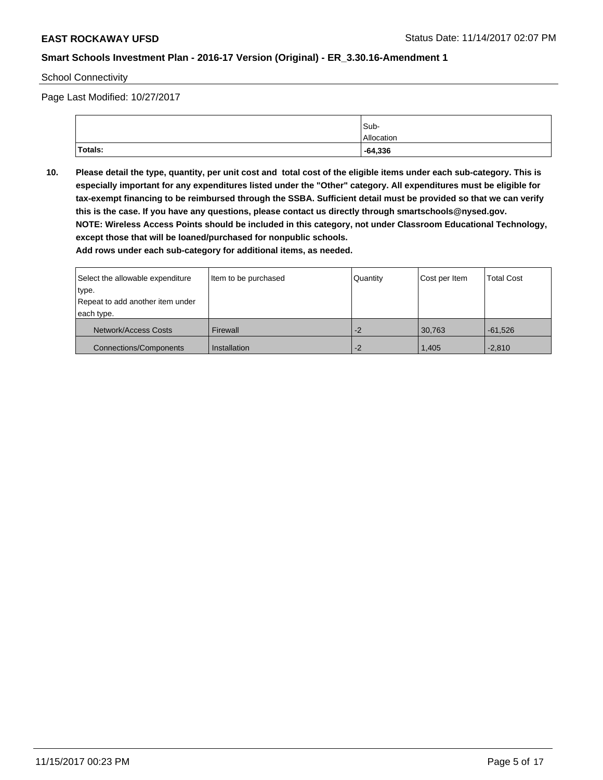School Connectivity

Page Last Modified: 10/27/2017

|                | Sub-       |
|----------------|------------|
|                | Allocation |
| <b>Totals:</b> | $-64,336$  |

**10. Please detail the type, quantity, per unit cost and total cost of the eligible items under each sub-category. This is especially important for any expenditures listed under the "Other" category. All expenditures must be eligible for tax-exempt financing to be reimbursed through the SSBA. Sufficient detail must be provided so that we can verify this is the case. If you have any questions, please contact us directly through smartschools@nysed.gov. NOTE: Wireless Access Points should be included in this category, not under Classroom Educational Technology, except those that will be loaned/purchased for nonpublic schools.**

| Select the allowable expenditure | Item to be purchased | Quantity | Cost per Item | <b>Total Cost</b> |
|----------------------------------|----------------------|----------|---------------|-------------------|
| type.                            |                      |          |               |                   |
| Repeat to add another item under |                      |          |               |                   |
| each type.                       |                      |          |               |                   |
| Network/Access Costs             | Firewall             | $-2$     | 30.763        | $-61.526$         |
| <b>Connections/Components</b>    | Installation         | $-2$     | 1.405         | $-2,810$          |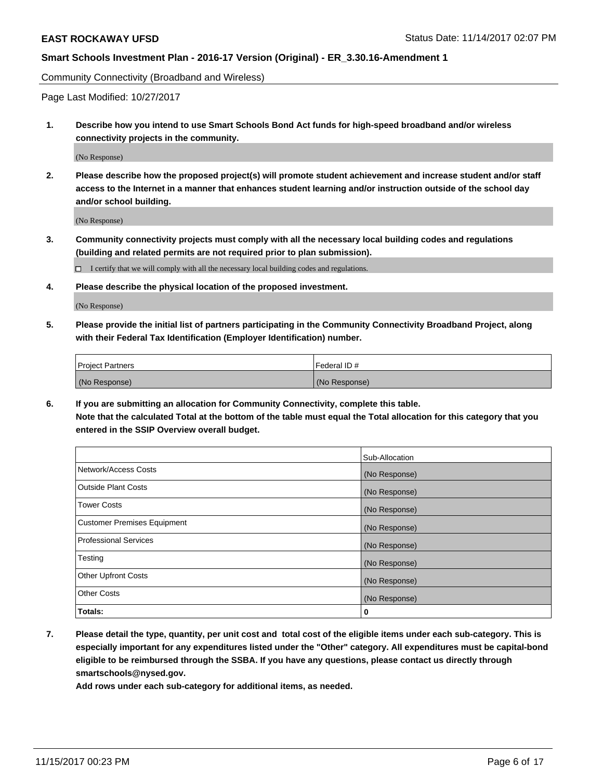Community Connectivity (Broadband and Wireless)

Page Last Modified: 10/27/2017

**1. Describe how you intend to use Smart Schools Bond Act funds for high-speed broadband and/or wireless connectivity projects in the community.**

(No Response)

**2. Please describe how the proposed project(s) will promote student achievement and increase student and/or staff access to the Internet in a manner that enhances student learning and/or instruction outside of the school day and/or school building.**

(No Response)

**3. Community connectivity projects must comply with all the necessary local building codes and regulations (building and related permits are not required prior to plan submission).**

 $\Box$  I certify that we will comply with all the necessary local building codes and regulations.

**4. Please describe the physical location of the proposed investment.**

(No Response)

**5. Please provide the initial list of partners participating in the Community Connectivity Broadband Project, along with their Federal Tax Identification (Employer Identification) number.**

| <b>Project Partners</b> | l Federal ID # |
|-------------------------|----------------|
| (No Response)           | (No Response)  |

**6. If you are submitting an allocation for Community Connectivity, complete this table. Note that the calculated Total at the bottom of the table must equal the Total allocation for this category that you entered in the SSIP Overview overall budget.**

|                                    | Sub-Allocation |
|------------------------------------|----------------|
| Network/Access Costs               | (No Response)  |
| <b>Outside Plant Costs</b>         | (No Response)  |
| <b>Tower Costs</b>                 | (No Response)  |
| <b>Customer Premises Equipment</b> | (No Response)  |
| <b>Professional Services</b>       | (No Response)  |
| Testing                            | (No Response)  |
| <b>Other Upfront Costs</b>         | (No Response)  |
| <b>Other Costs</b>                 | (No Response)  |
| Totals:                            | 0              |

**7. Please detail the type, quantity, per unit cost and total cost of the eligible items under each sub-category. This is especially important for any expenditures listed under the "Other" category. All expenditures must be capital-bond eligible to be reimbursed through the SSBA. If you have any questions, please contact us directly through smartschools@nysed.gov.**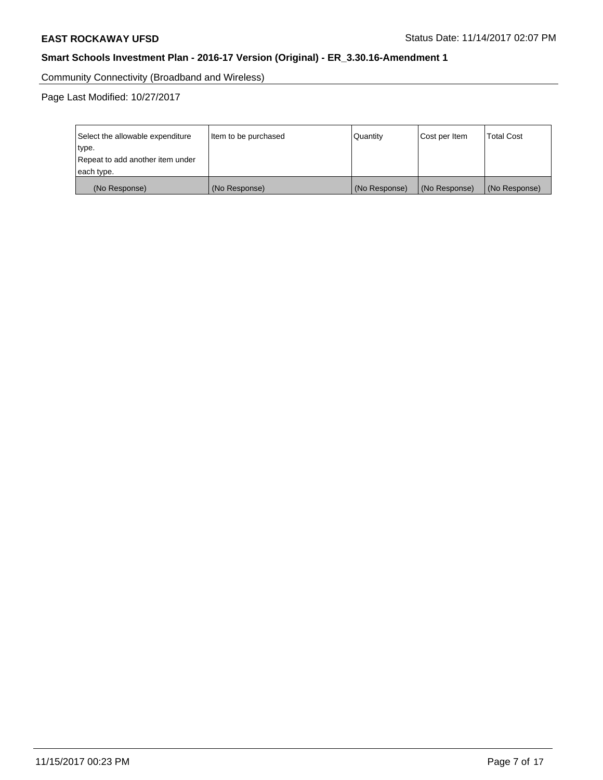Community Connectivity (Broadband and Wireless)

Page Last Modified: 10/27/2017

| Select the allowable expenditure<br>type.<br>Repeat to add another item under<br>each type. | Item to be purchased |               | Cost per Item | <b>Total Cost</b> |
|---------------------------------------------------------------------------------------------|----------------------|---------------|---------------|-------------------|
| (No Response)                                                                               | (No Response)        | (No Response) | (No Response) | (No Response)     |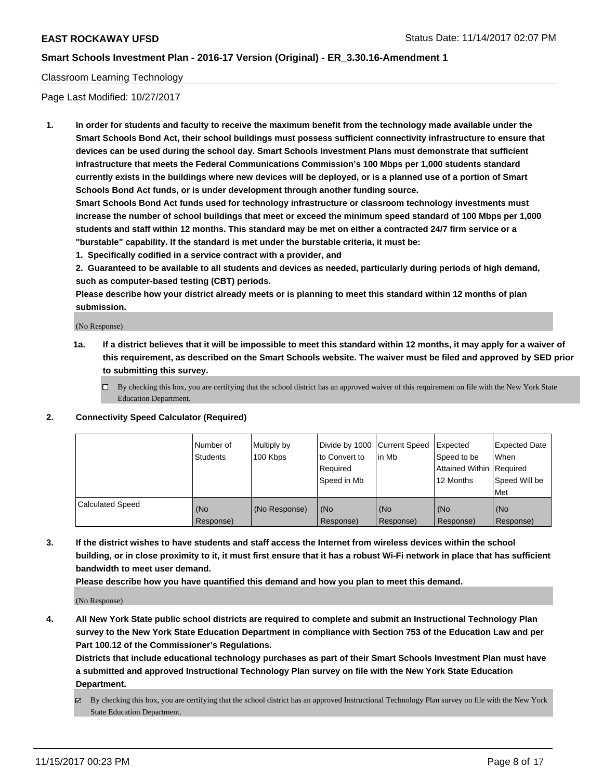# Classroom Learning Technology

Page Last Modified: 10/27/2017

**1. In order for students and faculty to receive the maximum benefit from the technology made available under the Smart Schools Bond Act, their school buildings must possess sufficient connectivity infrastructure to ensure that devices can be used during the school day. Smart Schools Investment Plans must demonstrate that sufficient infrastructure that meets the Federal Communications Commission's 100 Mbps per 1,000 students standard currently exists in the buildings where new devices will be deployed, or is a planned use of a portion of Smart Schools Bond Act funds, or is under development through another funding source.**

**Smart Schools Bond Act funds used for technology infrastructure or classroom technology investments must increase the number of school buildings that meet or exceed the minimum speed standard of 100 Mbps per 1,000 students and staff within 12 months. This standard may be met on either a contracted 24/7 firm service or a "burstable" capability. If the standard is met under the burstable criteria, it must be:**

**1. Specifically codified in a service contract with a provider, and**

**2. Guaranteed to be available to all students and devices as needed, particularly during periods of high demand, such as computer-based testing (CBT) periods.**

**Please describe how your district already meets or is planning to meet this standard within 12 months of plan submission.**

(No Response)

- **1a. If a district believes that it will be impossible to meet this standard within 12 months, it may apply for a waiver of this requirement, as described on the Smart Schools website. The waiver must be filed and approved by SED prior to submitting this survey.**
	- $\Box$  By checking this box, you are certifying that the school district has an approved waiver of this requirement on file with the New York State Education Department.
- **2. Connectivity Speed Calculator (Required)**

|                         | Number of<br><b>Students</b> | Multiply by<br>100 Kbps | Divide by 1000 Current Speed<br>to Convert to<br>Reauired<br>Speed in Mb | l in Mb          | Expected<br>Speed to be<br>Attained Within   Required<br>12 Months | Expected Date<br>When<br>Speed Will be<br>Met |
|-------------------------|------------------------------|-------------------------|--------------------------------------------------------------------------|------------------|--------------------------------------------------------------------|-----------------------------------------------|
| <b>Calculated Speed</b> | (No<br>Response)             | (No Response)           | (No<br>Response)                                                         | (No<br>Response) | (No<br>Response)                                                   | (No<br>Response)                              |

**3. If the district wishes to have students and staff access the Internet from wireless devices within the school building, or in close proximity to it, it must first ensure that it has a robust Wi-Fi network in place that has sufficient bandwidth to meet user demand.**

**Please describe how you have quantified this demand and how you plan to meet this demand.**

(No Response)

**4. All New York State public school districts are required to complete and submit an Instructional Technology Plan survey to the New York State Education Department in compliance with Section 753 of the Education Law and per Part 100.12 of the Commissioner's Regulations.**

**Districts that include educational technology purchases as part of their Smart Schools Investment Plan must have a submitted and approved Instructional Technology Plan survey on file with the New York State Education Department.**

By checking this box, you are certifying that the school district has an approved Instructional Technology Plan survey on file with the New York State Education Department.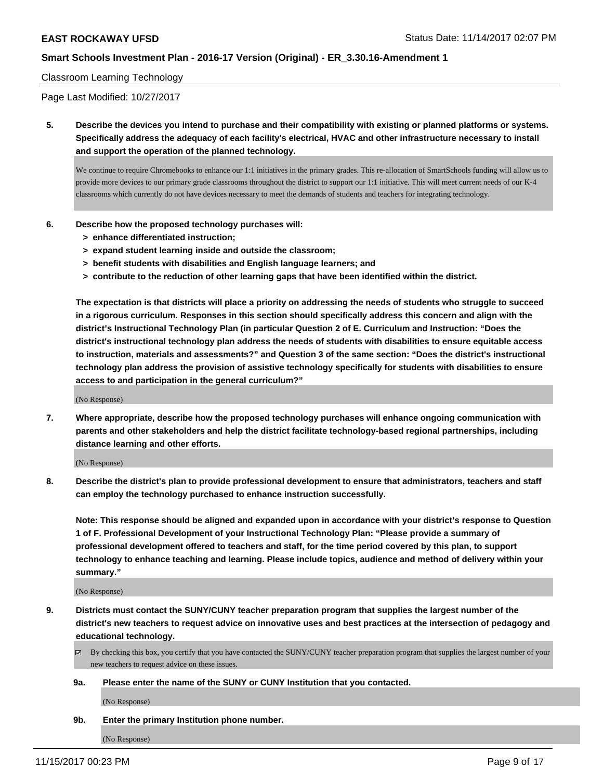#### Classroom Learning Technology

Page Last Modified: 10/27/2017

**5. Describe the devices you intend to purchase and their compatibility with existing or planned platforms or systems. Specifically address the adequacy of each facility's electrical, HVAC and other infrastructure necessary to install and support the operation of the planned technology.**

We continue to require Chromebooks to enhance our 1:1 initiatives in the primary grades. This re-allocation of SmartSchools funding will allow us to provide more devices to our primary grade classrooms throughout the district to support our 1:1 initiative. This will meet current needs of our K-4 classrooms which currently do not have devices necessary to meet the demands of students and teachers for integrating technology.

- **6. Describe how the proposed technology purchases will:**
	- **> enhance differentiated instruction;**
	- **> expand student learning inside and outside the classroom;**
	- **> benefit students with disabilities and English language learners; and**
	- **> contribute to the reduction of other learning gaps that have been identified within the district.**

**The expectation is that districts will place a priority on addressing the needs of students who struggle to succeed in a rigorous curriculum. Responses in this section should specifically address this concern and align with the district's Instructional Technology Plan (in particular Question 2 of E. Curriculum and Instruction: "Does the district's instructional technology plan address the needs of students with disabilities to ensure equitable access to instruction, materials and assessments?" and Question 3 of the same section: "Does the district's instructional technology plan address the provision of assistive technology specifically for students with disabilities to ensure access to and participation in the general curriculum?"**

(No Response)

**7. Where appropriate, describe how the proposed technology purchases will enhance ongoing communication with parents and other stakeholders and help the district facilitate technology-based regional partnerships, including distance learning and other efforts.**

(No Response)

**8. Describe the district's plan to provide professional development to ensure that administrators, teachers and staff can employ the technology purchased to enhance instruction successfully.**

**Note: This response should be aligned and expanded upon in accordance with your district's response to Question 1 of F. Professional Development of your Instructional Technology Plan: "Please provide a summary of professional development offered to teachers and staff, for the time period covered by this plan, to support technology to enhance teaching and learning. Please include topics, audience and method of delivery within your summary."**

(No Response)

- **9. Districts must contact the SUNY/CUNY teacher preparation program that supplies the largest number of the district's new teachers to request advice on innovative uses and best practices at the intersection of pedagogy and educational technology.**
	- $\boxtimes$  By checking this box, you certify that you have contacted the SUNY/CUNY teacher preparation program that supplies the largest number of your new teachers to request advice on these issues.
	- **9a. Please enter the name of the SUNY or CUNY Institution that you contacted.**

(No Response)

**9b. Enter the primary Institution phone number.**

(No Response)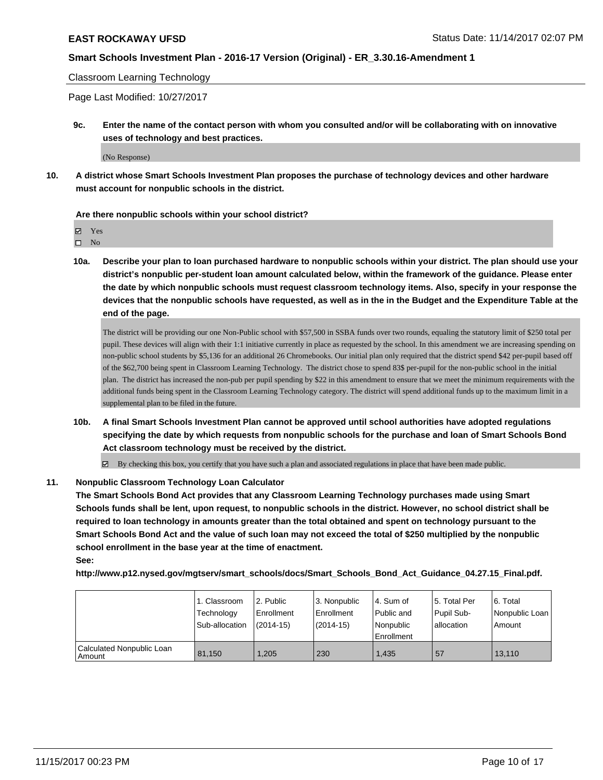#### Classroom Learning Technology

Page Last Modified: 10/27/2017

**9c. Enter the name of the contact person with whom you consulted and/or will be collaborating with on innovative uses of technology and best practices.**

(No Response)

**10. A district whose Smart Schools Investment Plan proposes the purchase of technology devices and other hardware must account for nonpublic schools in the district.**

#### **Are there nonpublic schools within your school district?**

Yes

 $\square$  No

**10a. Describe your plan to loan purchased hardware to nonpublic schools within your district. The plan should use your district's nonpublic per-student loan amount calculated below, within the framework of the guidance. Please enter the date by which nonpublic schools must request classroom technology items. Also, specify in your response the devices that the nonpublic schools have requested, as well as in the in the Budget and the Expenditure Table at the end of the page.**

The district will be providing our one Non-Public school with \$57,500 in SSBA funds over two rounds, equaling the statutory limit of \$250 total per pupil. These devices will align with their 1:1 initiative currently in place as requested by the school. In this amendment we are increasing spending on non-public school students by \$5,136 for an additional 26 Chromebooks. Our initial plan only required that the district spend \$42 per-pupil based off of the \$62,700 being spent in Classroom Learning Technology. The district chose to spend 83\$ per-pupil for the non-public school in the initial plan. The district has increased the non-pub per pupil spending by \$22 in this amendment to ensure that we meet the minimum requirements with the additional funds being spent in the Classroom Learning Technology category. The district will spend additional funds up to the maximum limit in a supplemental plan to be filed in the future.

**10b. A final Smart Schools Investment Plan cannot be approved until school authorities have adopted regulations specifying the date by which requests from nonpublic schools for the purchase and loan of Smart Schools Bond Act classroom technology must be received by the district.**

By checking this box, you certify that you have such a plan and associated regulations in place that have been made public.

#### **11. Nonpublic Classroom Technology Loan Calculator**

**The Smart Schools Bond Act provides that any Classroom Learning Technology purchases made using Smart Schools funds shall be lent, upon request, to nonpublic schools in the district. However, no school district shall be required to loan technology in amounts greater than the total obtained and spent on technology pursuant to the Smart Schools Bond Act and the value of such loan may not exceed the total of \$250 multiplied by the nonpublic school enrollment in the base year at the time of enactment. See:**

**http://www.p12.nysed.gov/mgtserv/smart\_schools/docs/Smart\_Schools\_Bond\_Act\_Guidance\_04.27.15\_Final.pdf.**

|                                       | 1. Classroom<br>Technology<br>Sub-allocation | 2. Public<br>Enrollment<br>$(2014-15)$ | 3. Nonpublic<br>Enrollment<br>$(2014 - 15)$ | 14. Sum of<br>Public and<br>Nonpublic<br>Enrollment | 15. Total Per<br>Pupil Sub-<br>allocation | 6. Total<br>Nonpublic Loan<br>l Amount |
|---------------------------------------|----------------------------------------------|----------------------------------------|---------------------------------------------|-----------------------------------------------------|-------------------------------------------|----------------------------------------|
| Calculated Nonpublic Loan<br>l Amount | 81.150                                       | 1.205                                  | 230                                         | 1.435                                               | 57                                        | 13.110                                 |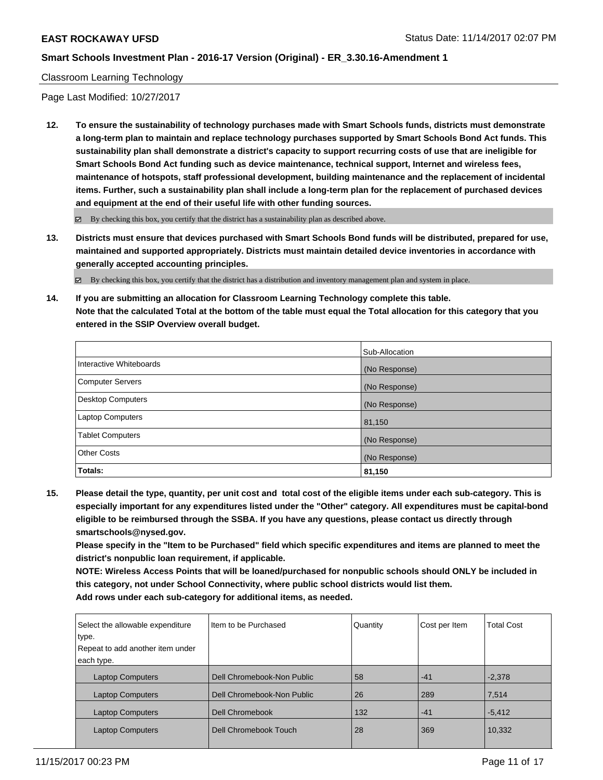Classroom Learning Technology

Page Last Modified: 10/27/2017

**12. To ensure the sustainability of technology purchases made with Smart Schools funds, districts must demonstrate a long-term plan to maintain and replace technology purchases supported by Smart Schools Bond Act funds. This sustainability plan shall demonstrate a district's capacity to support recurring costs of use that are ineligible for Smart Schools Bond Act funding such as device maintenance, technical support, Internet and wireless fees, maintenance of hotspots, staff professional development, building maintenance and the replacement of incidental items. Further, such a sustainability plan shall include a long-term plan for the replacement of purchased devices and equipment at the end of their useful life with other funding sources.**

 $\boxtimes$  By checking this box, you certify that the district has a sustainability plan as described above.

**13. Districts must ensure that devices purchased with Smart Schools Bond funds will be distributed, prepared for use, maintained and supported appropriately. Districts must maintain detailed device inventories in accordance with generally accepted accounting principles.**

By checking this box, you certify that the district has a distribution and inventory management plan and system in place.

**14. If you are submitting an allocation for Classroom Learning Technology complete this table. Note that the calculated Total at the bottom of the table must equal the Total allocation for this category that you entered in the SSIP Overview overall budget.**

|                          | Sub-Allocation |
|--------------------------|----------------|
| Interactive Whiteboards  | (No Response)  |
| Computer Servers         | (No Response)  |
| <b>Desktop Computers</b> | (No Response)  |
| <b>Laptop Computers</b>  | 81,150         |
| <b>Tablet Computers</b>  | (No Response)  |
| <b>Other Costs</b>       | (No Response)  |
| Totals:                  | 81,150         |

**15. Please detail the type, quantity, per unit cost and total cost of the eligible items under each sub-category. This is especially important for any expenditures listed under the "Other" category. All expenditures must be capital-bond eligible to be reimbursed through the SSBA. If you have any questions, please contact us directly through smartschools@nysed.gov.**

**Please specify in the "Item to be Purchased" field which specific expenditures and items are planned to meet the district's nonpublic loan requirement, if applicable.**

**NOTE: Wireless Access Points that will be loaned/purchased for nonpublic schools should ONLY be included in this category, not under School Connectivity, where public school districts would list them. Add rows under each sub-category for additional items, as needed.**

| Select the allowable expenditure<br>type.<br>Repeat to add another item under<br>each type. | Iltem to be Purchased      | Quantity | Cost per Item | <b>Total Cost</b> |
|---------------------------------------------------------------------------------------------|----------------------------|----------|---------------|-------------------|
| <b>Laptop Computers</b>                                                                     | Dell Chromebook-Non Public | 58       | $-41$         | $-2,378$          |
| <b>Laptop Computers</b>                                                                     | Dell Chromebook-Non Public | 26       | 289           | 7,514             |
| <b>Laptop Computers</b>                                                                     | Dell Chromebook            | 132      | $-41$         | $-5,412$          |
| <b>Laptop Computers</b>                                                                     | Dell Chromebook Touch      | 28       | 369           | 10,332            |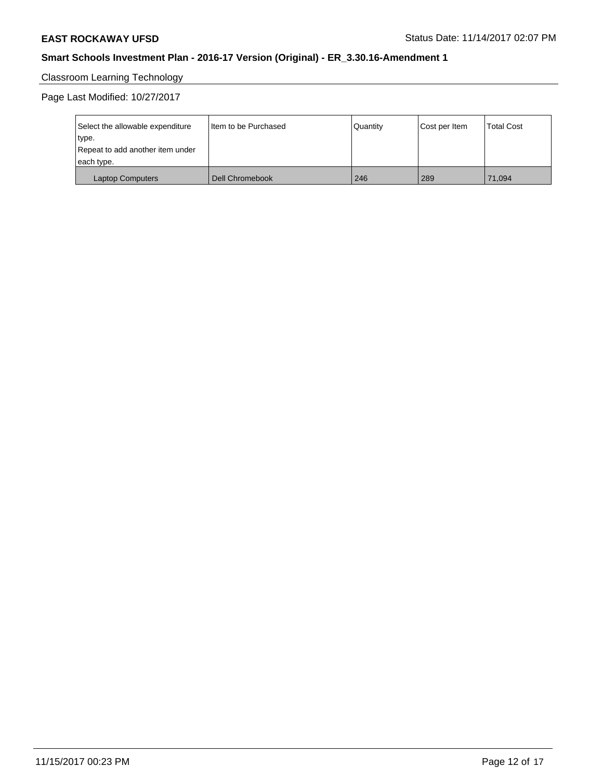# Classroom Learning Technology

Page Last Modified: 10/27/2017

| Select the allowable expenditure | Iltem to be Purchased | Quantity | Cost per Item | <b>Total Cost</b> |
|----------------------------------|-----------------------|----------|---------------|-------------------|
| type.                            |                       |          |               |                   |
| Repeat to add another item under |                       |          |               |                   |
| each type.                       |                       |          |               |                   |
| Laptop Computers                 | Dell Chromebook       | 246      | 289           | 71.094            |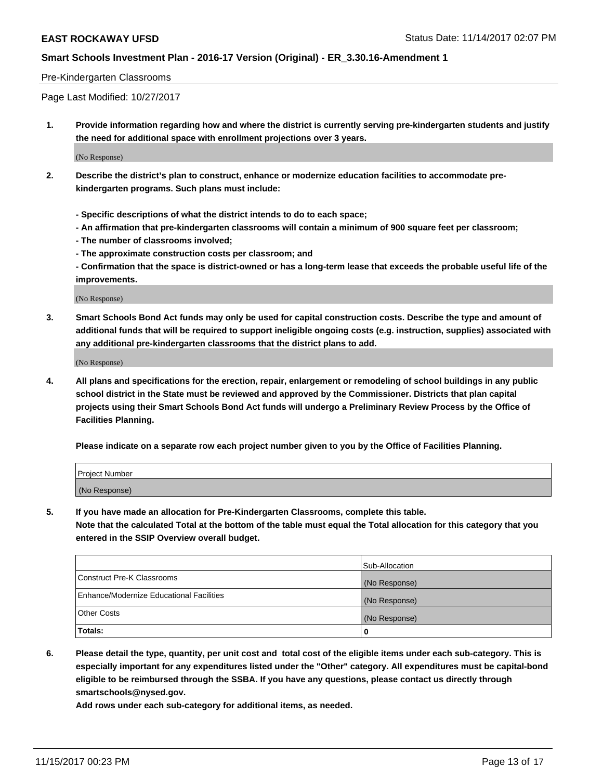#### Pre-Kindergarten Classrooms

Page Last Modified: 10/27/2017

**1. Provide information regarding how and where the district is currently serving pre-kindergarten students and justify the need for additional space with enrollment projections over 3 years.**

(No Response)

- **2. Describe the district's plan to construct, enhance or modernize education facilities to accommodate prekindergarten programs. Such plans must include:**
	- **Specific descriptions of what the district intends to do to each space;**
	- **An affirmation that pre-kindergarten classrooms will contain a minimum of 900 square feet per classroom;**
	- **The number of classrooms involved;**
	- **The approximate construction costs per classroom; and**

**- Confirmation that the space is district-owned or has a long-term lease that exceeds the probable useful life of the improvements.**

(No Response)

**3. Smart Schools Bond Act funds may only be used for capital construction costs. Describe the type and amount of additional funds that will be required to support ineligible ongoing costs (e.g. instruction, supplies) associated with any additional pre-kindergarten classrooms that the district plans to add.**

(No Response)

**4. All plans and specifications for the erection, repair, enlargement or remodeling of school buildings in any public school district in the State must be reviewed and approved by the Commissioner. Districts that plan capital projects using their Smart Schools Bond Act funds will undergo a Preliminary Review Process by the Office of Facilities Planning.**

**Please indicate on a separate row each project number given to you by the Office of Facilities Planning.**

| Project Number |  |
|----------------|--|
| (No Response)  |  |

**5. If you have made an allocation for Pre-Kindergarten Classrooms, complete this table.**

**Note that the calculated Total at the bottom of the table must equal the Total allocation for this category that you entered in the SSIP Overview overall budget.**

|                                          | Sub-Allocation |
|------------------------------------------|----------------|
| Construct Pre-K Classrooms               | (No Response)  |
| Enhance/Modernize Educational Facilities | (No Response)  |
| <b>Other Costs</b>                       | (No Response)  |
| <b>Totals:</b>                           | 0              |

**6. Please detail the type, quantity, per unit cost and total cost of the eligible items under each sub-category. This is especially important for any expenditures listed under the "Other" category. All expenditures must be capital-bond eligible to be reimbursed through the SSBA. If you have any questions, please contact us directly through smartschools@nysed.gov.**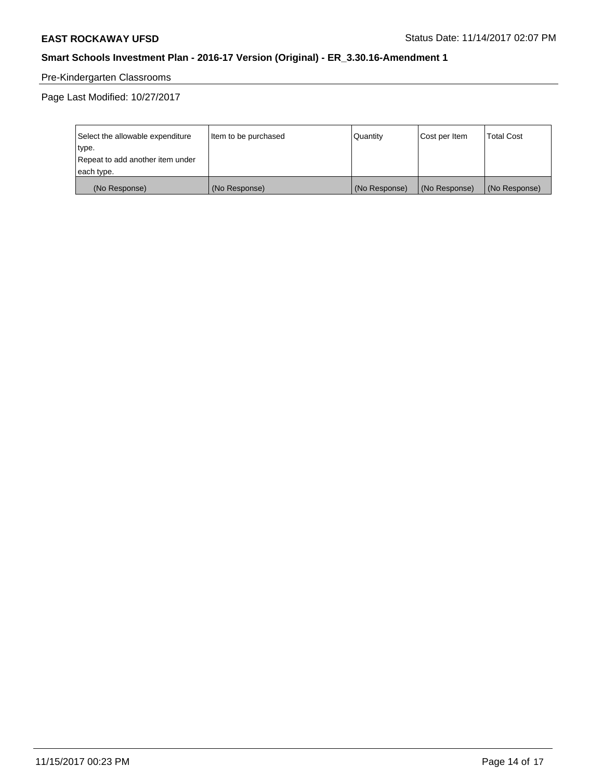# Pre-Kindergarten Classrooms

Page Last Modified: 10/27/2017

| Select the allowable expenditure | Item to be purchased | Quantity      | Cost per Item | <b>Total Cost</b> |
|----------------------------------|----------------------|---------------|---------------|-------------------|
| type.                            |                      |               |               |                   |
| Repeat to add another item under |                      |               |               |                   |
| each type.                       |                      |               |               |                   |
| (No Response)                    | (No Response)        | (No Response) | (No Response) | (No Response)     |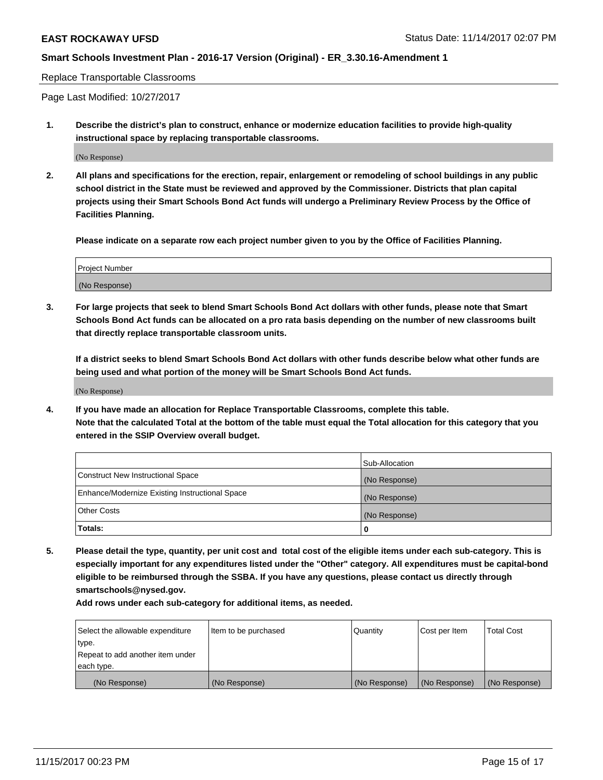Replace Transportable Classrooms

Page Last Modified: 10/27/2017

**1. Describe the district's plan to construct, enhance or modernize education facilities to provide high-quality instructional space by replacing transportable classrooms.**

(No Response)

**2. All plans and specifications for the erection, repair, enlargement or remodeling of school buildings in any public school district in the State must be reviewed and approved by the Commissioner. Districts that plan capital projects using their Smart Schools Bond Act funds will undergo a Preliminary Review Process by the Office of Facilities Planning.**

**Please indicate on a separate row each project number given to you by the Office of Facilities Planning.**

| <b>Project Number</b> |  |
|-----------------------|--|
| (No Response)         |  |

**3. For large projects that seek to blend Smart Schools Bond Act dollars with other funds, please note that Smart Schools Bond Act funds can be allocated on a pro rata basis depending on the number of new classrooms built that directly replace transportable classroom units.**

**If a district seeks to blend Smart Schools Bond Act dollars with other funds describe below what other funds are being used and what portion of the money will be Smart Schools Bond Act funds.**

(No Response)

**4. If you have made an allocation for Replace Transportable Classrooms, complete this table. Note that the calculated Total at the bottom of the table must equal the Total allocation for this category that you entered in the SSIP Overview overall budget.**

|                                                | Sub-Allocation |
|------------------------------------------------|----------------|
| Construct New Instructional Space              | (No Response)  |
| Enhance/Modernize Existing Instructional Space | (No Response)  |
| <b>Other Costs</b>                             | (No Response)  |
| Totals:                                        | 0              |

**5. Please detail the type, quantity, per unit cost and total cost of the eligible items under each sub-category. This is especially important for any expenditures listed under the "Other" category. All expenditures must be capital-bond eligible to be reimbursed through the SSBA. If you have any questions, please contact us directly through smartschools@nysed.gov.**

| Select the allowable expenditure<br>type.      | lltem to be purchased | Quantity      | Cost per Item | <b>Total Cost</b> |
|------------------------------------------------|-----------------------|---------------|---------------|-------------------|
| Repeat to add another item under<br>each type. |                       |               |               |                   |
| (No Response)                                  | (No Response)         | (No Response) | (No Response) | (No Response)     |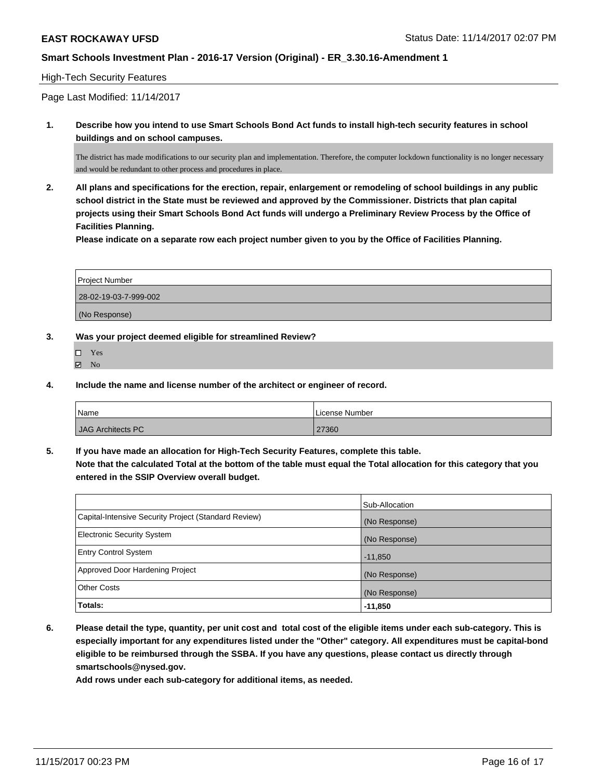## High-Tech Security Features

Page Last Modified: 11/14/2017

**1. Describe how you intend to use Smart Schools Bond Act funds to install high-tech security features in school buildings and on school campuses.**

The district has made modifications to our security plan and implementation. Therefore, the computer lockdown functionality is no longer necessary and would be redundant to other process and procedures in place.

**2. All plans and specifications for the erection, repair, enlargement or remodeling of school buildings in any public school district in the State must be reviewed and approved by the Commissioner. Districts that plan capital projects using their Smart Schools Bond Act funds will undergo a Preliminary Review Process by the Office of Facilities Planning.** 

**Please indicate on a separate row each project number given to you by the Office of Facilities Planning.**

| <b>Project Number</b> |
|-----------------------|
| 28-02-19-03-7-999-002 |
| (No Response)         |

#### **3. Was your project deemed eligible for streamlined Review?**

Yes  $\boxtimes$  No

**4. Include the name and license number of the architect or engineer of record.**

| Name              | License Number |
|-------------------|----------------|
| JAG Architects PC | 27360          |

**5. If you have made an allocation for High-Tech Security Features, complete this table. Note that the calculated Total at the bottom of the table must equal the Total allocation for this category that you entered in the SSIP Overview overall budget.**

|                                                      | Sub-Allocation |
|------------------------------------------------------|----------------|
| Capital-Intensive Security Project (Standard Review) | (No Response)  |
| <b>Electronic Security System</b>                    | (No Response)  |
| <b>Entry Control System</b>                          | $-11,850$      |
| Approved Door Hardening Project                      | (No Response)  |
| <b>Other Costs</b>                                   | (No Response)  |
| Totals:                                              | $-11,850$      |

**6. Please detail the type, quantity, per unit cost and total cost of the eligible items under each sub-category. This is especially important for any expenditures listed under the "Other" category. All expenditures must be capital-bond eligible to be reimbursed through the SSBA. If you have any questions, please contact us directly through smartschools@nysed.gov.**